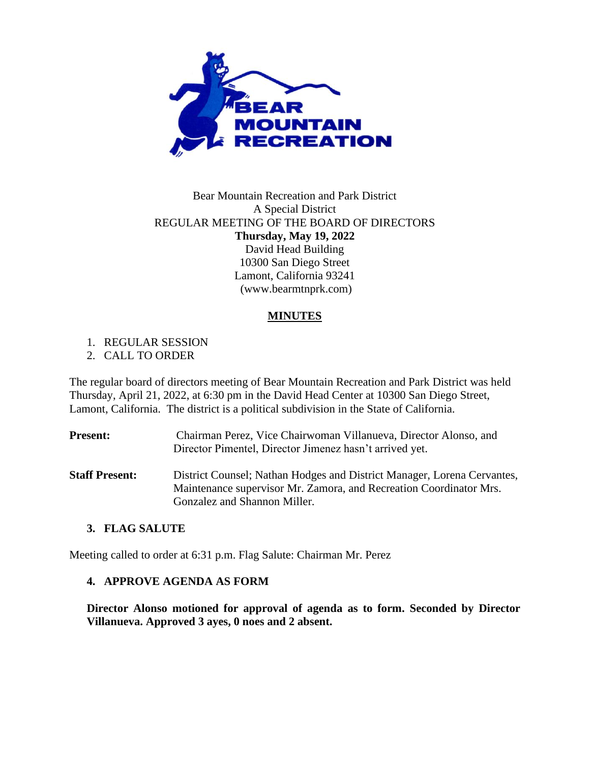

# Bear Mountain Recreation and Park District A Special District REGULAR MEETING OF THE BOARD OF DIRECTORS **Thursday, May 19, 2022** David Head Building 10300 San Diego Street Lamont, California 93241 (www.bearmtnprk.com)

## **MINUTES**

1. REGULAR SESSION

2. CALL TO ORDER

The regular board of directors meeting of Bear Mountain Recreation and Park District was held Thursday, April 21, 2022, at 6:30 pm in the David Head Center at 10300 San Diego Street, Lamont, California. The district is a political subdivision in the State of California.

| <b>Present:</b>       | Chairman Perez, Vice Chairwoman Villanueva, Director Alonso, and<br>Director Pimentel, Director Jimenez hasn't arrived yet.                   |
|-----------------------|-----------------------------------------------------------------------------------------------------------------------------------------------|
| <b>Staff Present:</b> | District Counsel; Nathan Hodges and District Manager, Lorena Cervantes,<br>Maintenance supervisor Mr. Zamora, and Recreation Coordinator Mrs. |
|                       | Gonzalez and Shannon Miller.                                                                                                                  |

### **3. FLAG SALUTE**

Meeting called to order at 6:31 p.m. Flag Salute: Chairman Mr. Perez

### **4. APPROVE AGENDA AS FORM**

**Director Alonso motioned for approval of agenda as to form. Seconded by Director Villanueva. Approved 3 ayes, 0 noes and 2 absent.**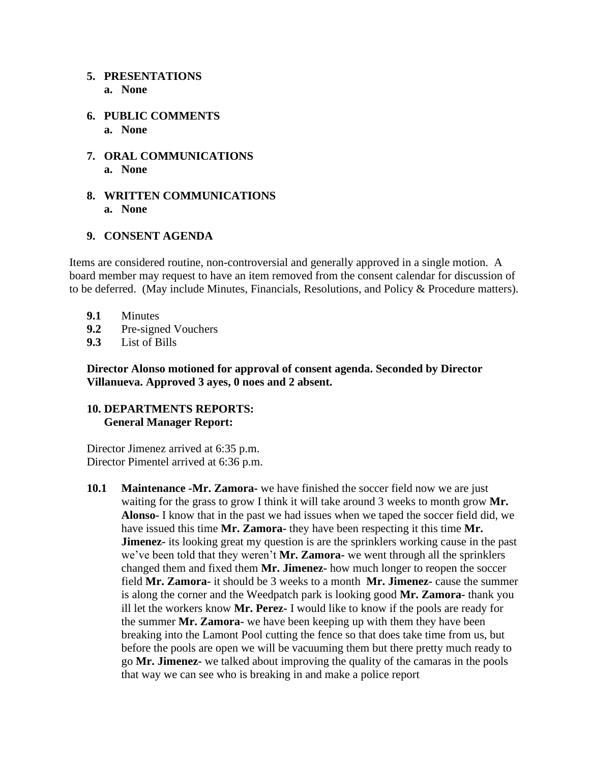### **5. PRESENTATIONS**

- **a. None**
- **6. PUBLIC COMMENTS a. None**
- **7. ORAL COMMUNICATIONS a. None**
- **8. WRITTEN COMMUNICATIONS a. None**

### **9. CONSENT AGENDA**

Items are considered routine, non-controversial and generally approved in a single motion. A board member may request to have an item removed from the consent calendar for discussion of to be deferred. (May include Minutes, Financials, Resolutions, and Policy & Procedure matters).

- **9.1** Minutes
- **9.2** Pre-signed Vouchers
- **9.3** List of Bills

**Director Alonso motioned for approval of consent agenda. Seconded by Director Villanueva. Approved 3 ayes, 0 noes and 2 absent.**

## **10. DEPARTMENTS REPORTS: General Manager Report:**

Director Jimenez arrived at 6:35 p.m. Director Pimentel arrived at 6:36 p.m.

**10.1 Maintenance -Mr. Zamora-** we have finished the soccer field now we are just waiting for the grass to grow I think it will take around 3 weeks to month grow **Mr. Alonso-** I know that in the past we had issues when we taped the soccer field did, we have issued this time **Mr. Zamora-** they have been respecting it this time **Mr. Jimenez-** its looking great my question is are the sprinklers working cause in the past we've been told that they weren't **Mr. Zamora-** we went through all the sprinklers changed them and fixed them **Mr. Jimenez-** how much longer to reopen the soccer field **Mr. Zamora-** it should be 3 weeks to a month **Mr. Jimenez-** cause the summer is along the corner and the Weedpatch park is looking good **Mr. Zamora-** thank you ill let the workers know **Mr. Perez-** I would like to know if the pools are ready for the summer **Mr. Zamora-** we have been keeping up with them they have been breaking into the Lamont Pool cutting the fence so that does take time from us, but before the pools are open we will be vacuuming them but there pretty much ready to go **Mr. Jimenez-** we talked about improving the quality of the camaras in the pools that way we can see who is breaking in and make a police report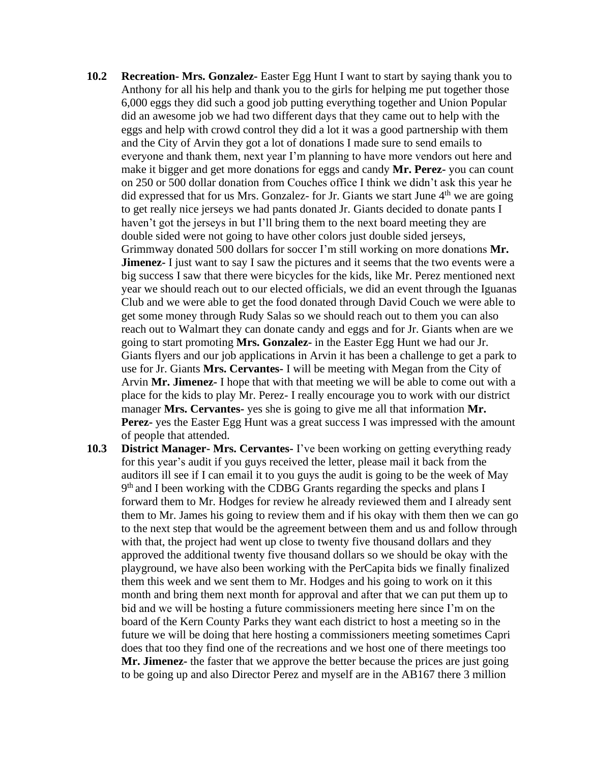- **10.2 Recreation- Mrs. Gonzalez-** Easter Egg Hunt I want to start by saying thank you to Anthony for all his help and thank you to the girls for helping me put together those 6,000 eggs they did such a good job putting everything together and Union Popular did an awesome job we had two different days that they came out to help with the eggs and help with crowd control they did a lot it was a good partnership with them and the City of Arvin they got a lot of donations I made sure to send emails to everyone and thank them, next year I'm planning to have more vendors out here and make it bigger and get more donations for eggs and candy **Mr. Perez-** you can count on 250 or 500 dollar donation from Couches office I think we didn't ask this year he did expressed that for us Mrs. Gonzalez- for Jr. Giants we start June  $4<sup>th</sup>$  we are going to get really nice jerseys we had pants donated Jr. Giants decided to donate pants I haven't got the jerseys in but I'll bring them to the next board meeting they are double sided were not going to have other colors just double sided jerseys, Grimmway donated 500 dollars for soccer I'm still working on more donations **Mr. Jimenez-** I just want to say I saw the pictures and it seems that the two events were a big success I saw that there were bicycles for the kids, like Mr. Perez mentioned next year we should reach out to our elected officials, we did an event through the Iguanas Club and we were able to get the food donated through David Couch we were able to get some money through Rudy Salas so we should reach out to them you can also reach out to Walmart they can donate candy and eggs and for Jr. Giants when are we going to start promoting **Mrs. Gonzalez-** in the Easter Egg Hunt we had our Jr. Giants flyers and our job applications in Arvin it has been a challenge to get a park to use for Jr. Giants **Mrs. Cervantes-** I will be meeting with Megan from the City of Arvin **Mr. Jimenez-** I hope that with that meeting we will be able to come out with a place for the kids to play Mr. Perez- I really encourage you to work with our district manager **Mrs. Cervantes-** yes she is going to give me all that information **Mr. Perez-** yes the Easter Egg Hunt was a great success I was impressed with the amount of people that attended.
- **10.3 District Manager- Mrs. Cervantes-** I've been working on getting everything ready for this year's audit if you guys received the letter, please mail it back from the auditors ill see if I can email it to you guys the audit is going to be the week of May 9<sup>th</sup> and I been working with the CDBG Grants regarding the specks and plans I forward them to Mr. Hodges for review he already reviewed them and I already sent them to Mr. James his going to review them and if his okay with them then we can go to the next step that would be the agreement between them and us and follow through with that, the project had went up close to twenty five thousand dollars and they approved the additional twenty five thousand dollars so we should be okay with the playground, we have also been working with the PerCapita bids we finally finalized them this week and we sent them to Mr. Hodges and his going to work on it this month and bring them next month for approval and after that we can put them up to bid and we will be hosting a future commissioners meeting here since I'm on the board of the Kern County Parks they want each district to host a meeting so in the future we will be doing that here hosting a commissioners meeting sometimes Capri does that too they find one of the recreations and we host one of there meetings too **Mr. Jimenez-** the faster that we approve the better because the prices are just going to be going up and also Director Perez and myself are in the AB167 there 3 million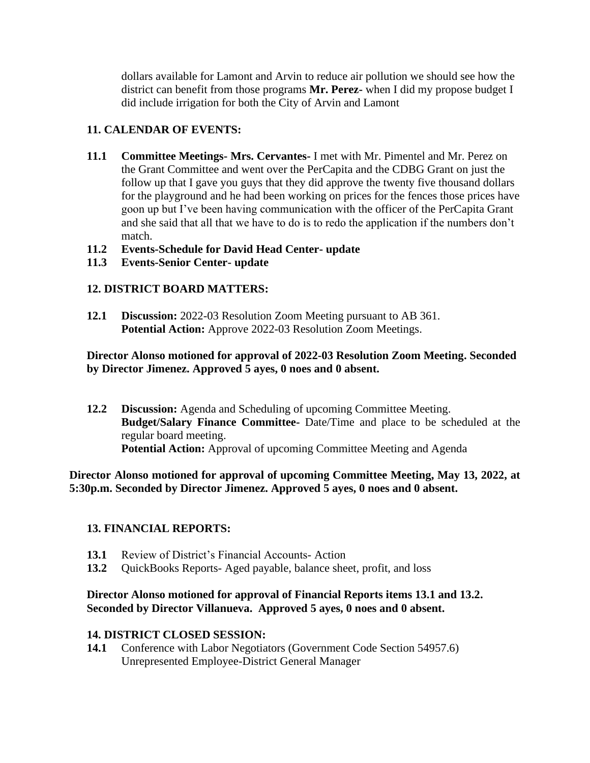dollars available for Lamont and Arvin to reduce air pollution we should see how the district can benefit from those programs **Mr. Perez-** when I did my propose budget I did include irrigation for both the City of Arvin and Lamont

# **11. CALENDAR OF EVENTS:**

**11.1 Committee Meetings- Mrs. Cervantes-** I met with Mr. Pimentel and Mr. Perez on the Grant Committee and went over the PerCapita and the CDBG Grant on just the follow up that I gave you guys that they did approve the twenty five thousand dollars for the playground and he had been working on prices for the fences those prices have goon up but I've been having communication with the officer of the PerCapita Grant and she said that all that we have to do is to redo the application if the numbers don't match.

# **11.2 Events-Schedule for David Head Center- update**

**11.3 Events-Senior Center- update**

# **12. DISTRICT BOARD MATTERS:**

**12.1 Discussion:** 2022-03 Resolution Zoom Meeting pursuant to AB 361. **Potential Action:** Approve 2022-03 Resolution Zoom Meetings.

# **Director Alonso motioned for approval of 2022-03 Resolution Zoom Meeting. Seconded by Director Jimenez. Approved 5 ayes, 0 noes and 0 absent.**

**12.2 Discussion:** Agenda and Scheduling of upcoming Committee Meeting. **Budget/Salary Finance Committee-** Date/Time and place to be scheduled at the regular board meeting. Potential Action: Approval of upcoming Committee Meeting and Agenda

**Director Alonso motioned for approval of upcoming Committee Meeting, May 13, 2022, at 5:30p.m. Seconded by Director Jimenez. Approved 5 ayes, 0 noes and 0 absent.**

## **13. FINANCIAL REPORTS:**

- **13.1** Review of District's Financial Accounts- Action
- **13.2** QuickBooks Reports- Aged payable, balance sheet, profit, and loss

### **Director Alonso motioned for approval of Financial Reports items 13.1 and 13.2. Seconded by Director Villanueva. Approved 5 ayes, 0 noes and 0 absent.**

## **14. DISTRICT CLOSED SESSION:**

**14.1** Conference with Labor Negotiators (Government Code Section 54957.6) Unrepresented Employee-District General Manager